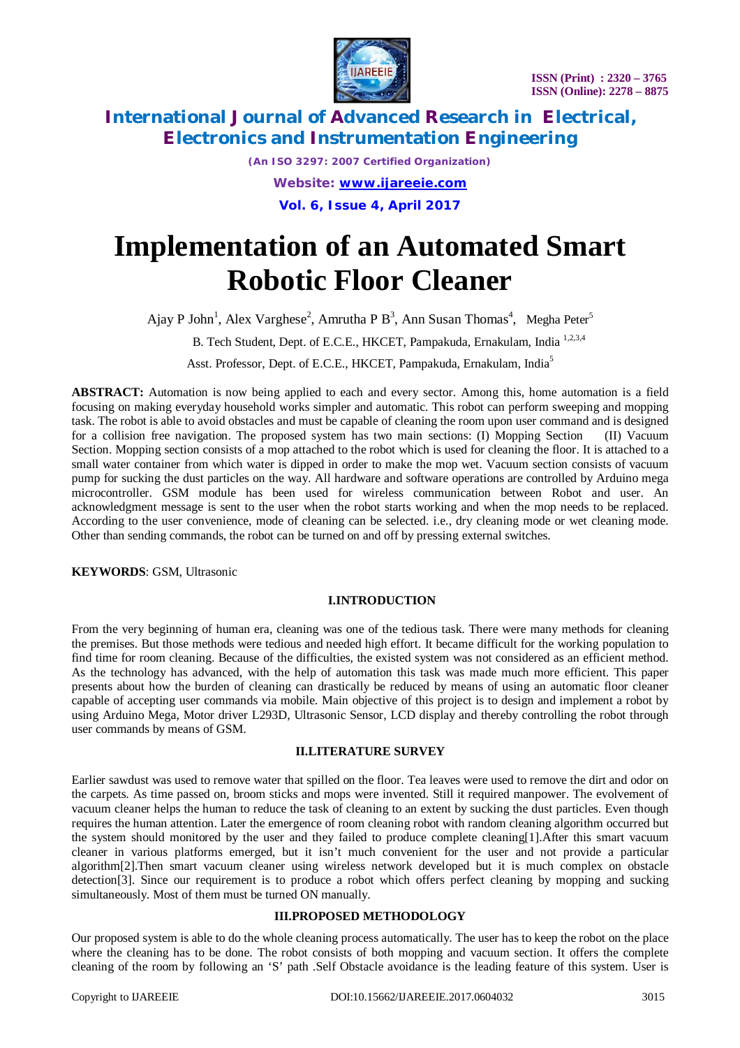

*(An ISO 3297: 2007 Certified Organization) Website: [www.ijareeie.com](http://www.ijareeie.com)* **Vol. 6, Issue 4, April 2017**

# **Implementation of an Automated Smart Robotic Floor Cleaner**

Ajay P John<sup>1</sup>, Alex Varghese<sup>2</sup>, Amrutha P B<sup>3</sup>, Ann Susan Thomas<sup>4</sup>, Megha Peter<sup>5</sup>

B. Tech Student, Dept. of E.C.E., HKCET, Pampakuda, Ernakulam, India<sup>1,2,3,4</sup>

Asst. Professor, Dept. of E.C.E., HKCET, Pampakuda, Ernakulam, India<sup>5</sup>

**ABSTRACT:** Automation is now being applied to each and every sector. Among this, home automation is a field focusing on making everyday household works simpler and automatic. This robot can perform sweeping and mopping task. The robot is able to avoid obstacles and must be capable of cleaning the room upon user command and is designed for a collision free navigation. The proposed system has two main sections: (I) Mopping Section (II) Vacuum Section. Mopping section consists of a mop attached to the robot which is used for cleaning the floor. It is attached to a small water container from which water is dipped in order to make the mop wet. Vacuum section consists of vacuum pump for sucking the dust particles on the way. All hardware and software operations are controlled by Arduino mega microcontroller. GSM module has been used for wireless communication between Robot and user. An acknowledgment message is sent to the user when the robot starts working and when the mop needs to be replaced. According to the user convenience, mode of cleaning can be selected. i.e., dry cleaning mode or wet cleaning mode. Other than sending commands, the robot can be turned on and off by pressing external switches.

**KEYWORDS**: GSM, Ultrasonic

### **I.INTRODUCTION**

From the very beginning of human era, cleaning was one of the tedious task. There were many methods for cleaning the premises. But those methods were tedious and needed high effort. It became difficult for the working population to find time for room cleaning. Because of the difficulties, the existed system was not considered as an efficient method. As the technology has advanced, with the help of automation this task was made much more efficient. This paper presents about how the burden of cleaning can drastically be reduced by means of using an automatic floor cleaner capable of accepting user commands via mobile. Main objective of this project is to design and implement a robot by using Arduino Mega, Motor driver L293D, Ultrasonic Sensor, LCD display and thereby controlling the robot through user commands by means of GSM.

### **II.LITERATURE SURVEY**

Earlier sawdust was used to remove water that spilled on the floor. Tea leaves were used to remove the dirt and odor on the carpets. As time passed on, broom sticks and mops were invented. Still it required manpower. The evolvement of vacuum cleaner helps the human to reduce the task of cleaning to an extent by sucking the dust particles. Even though requires the human attention. Later the emergence of room cleaning robot with random cleaning algorithm occurred but the system should monitored by the user and they failed to produce complete cleaning[1].After this smart vacuum cleaner in various platforms emerged, but it isn't much convenient for the user and not provide a particular algorithm[2].Then smart vacuum cleaner using wireless network developed but it is much complex on obstacle detection[3]. Since our requirement is to produce a robot which offers perfect cleaning by mopping and sucking simultaneously. Most of them must be turned ON manually.

### **III.PROPOSED METHODOLOGY**

Our proposed system is able to do the whole cleaning process automatically. The user has to keep the robot on the place where the cleaning has to be done. The robot consists of both mopping and vacuum section. It offers the complete cleaning of the room by following an 'S' path .Self Obstacle avoidance is the leading feature of this system. User is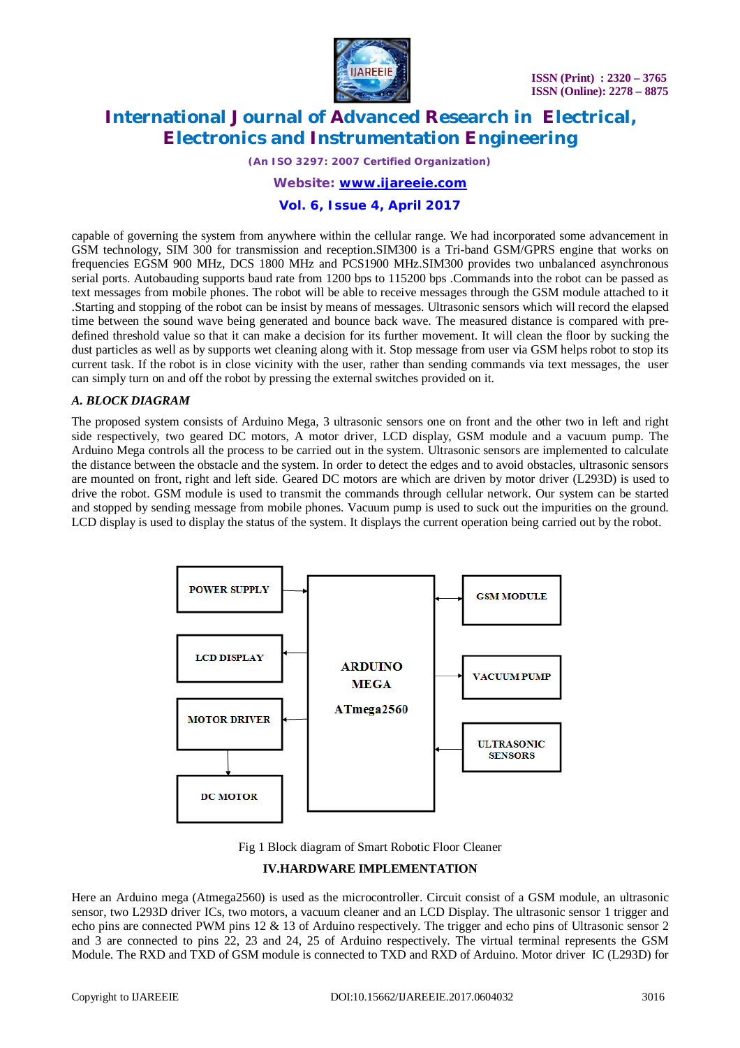

*(An ISO 3297: 2007 Certified Organization)*

### *Website: [www.ijareeie.com](http://www.ijareeie.com)*

### **Vol. 6, Issue 4, April 2017**

capable of governing the system from anywhere within the cellular range. We had incorporated some advancement in GSM technology, SIM 300 for transmission and reception.SIM300 is a Tri-band GSM/GPRS engine that works on frequencies EGSM 900 MHz, DCS 1800 MHz and PCS1900 MHz.SIM300 provides two unbalanced asynchronous serial ports. Autobauding supports baud rate from 1200 bps to 115200 bps .Commands into the robot can be passed as text messages from mobile phones. The robot will be able to receive messages through the GSM module attached to it .Starting and stopping of the robot can be insist by means of messages. Ultrasonic sensors which will record the elapsed time between the sound wave being generated and bounce back wave. The measured distance is compared with predefined threshold value so that it can make a decision for its further movement. It will clean the floor by sucking the dust particles as well as by supports wet cleaning along with it. Stop message from user via GSM helps robot to stop its current task. If the robot is in close vicinity with the user, rather than sending commands via text messages, the user can simply turn on and off the robot by pressing the external switches provided on it.

### *A. BLOCK DIAGRAM*

The proposed system consists of Arduino Mega, 3 ultrasonic sensors one on front and the other two in left and right side respectively, two geared DC motors, A motor driver, LCD display, GSM module and a vacuum pump. The Arduino Mega controls all the process to be carried out in the system. Ultrasonic sensors are implemented to calculate the distance between the obstacle and the system. In order to detect the edges and to avoid obstacles, ultrasonic sensors are mounted on front, right and left side. Geared DC motors are which are driven by motor driver (L293D) is used to drive the robot. GSM module is used to transmit the commands through cellular network. Our system can be started and stopped by sending message from mobile phones. Vacuum pump is used to suck out the impurities on the ground. LCD display is used to display the status of the system. It displays the current operation being carried out by the robot.



Fig 1 Block diagram of Smart Robotic Floor Cleaner

### **IV.HARDWARE IMPLEMENTATION**

Here an Arduino mega (Atmega2560) is used as the microcontroller. Circuit consist of a GSM module, an ultrasonic sensor, two L293D driver ICs, two motors, a vacuum cleaner and an LCD Display. The ultrasonic sensor 1 trigger and echo pins are connected PWM pins 12 & 13 of Arduino respectively. The trigger and echo pins of Ultrasonic sensor 2 and 3 are connected to pins 22, 23 and 24, 25 of Arduino respectively. The virtual terminal represents the GSM Module. The RXD and TXD of GSM module is connected to TXD and RXD of Arduino. Motor driver IC (L293D) for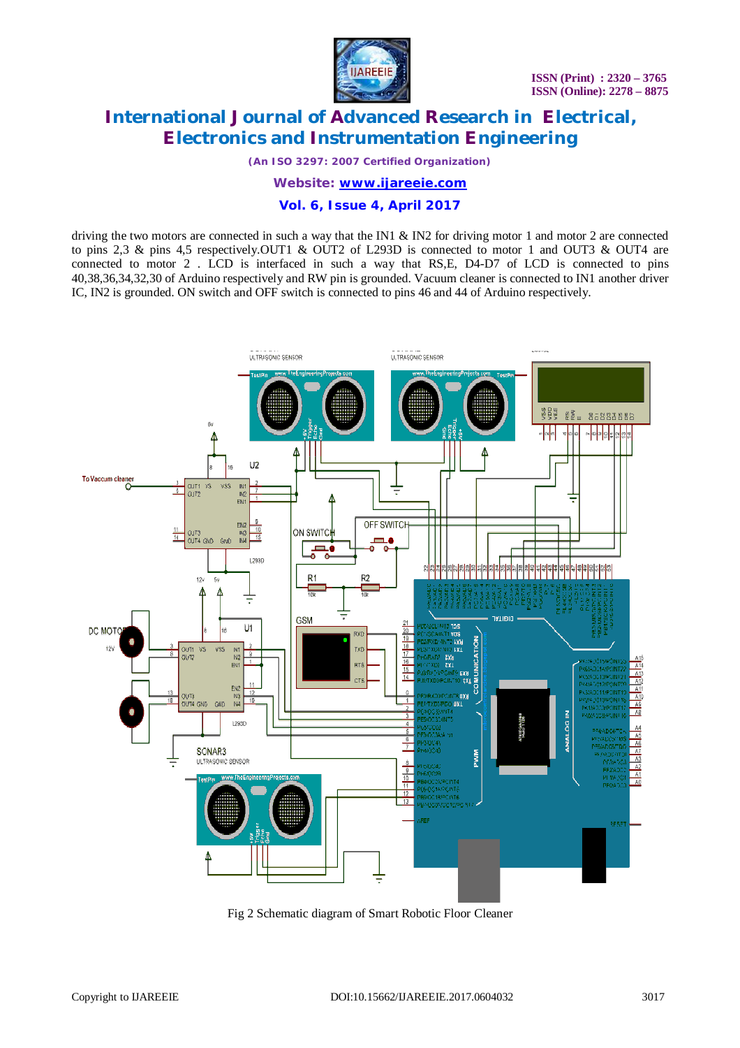

*(An ISO 3297: 2007 Certified Organization)*

*Website: [www.ijareeie.com](http://www.ijareeie.com)*

### **Vol. 6, Issue 4, April 2017**

driving the two motors are connected in such a way that the IN1 & IN2 for driving motor 1 and motor 2 are connected to pins 2,3 & pins 4,5 respectively.OUT1 & OUT2 of L293D is connected to motor 1 and OUT3 & OUT4 are connected to motor 2 . LCD is interfaced in such a way that RS,E, D4-D7 of LCD is connected to pins 40,38,36,34,32,30 of Arduino respectively and RW pin is grounded. Vacuum cleaner is connected to IN1 another driver IC, IN2 is grounded. ON switch and OFF switch is connected to pins 46 and 44 of Arduino respectively.



Fig 2 Schematic diagram of Smart Robotic Floor Cleaner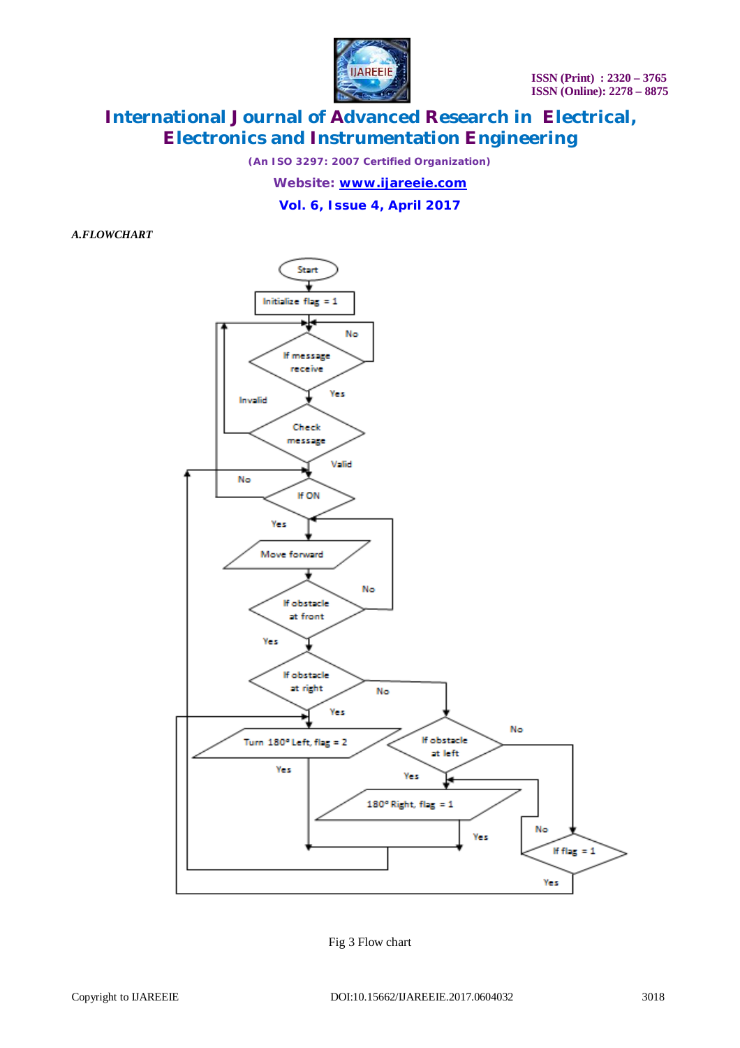

*(An ISO 3297: 2007 Certified Organization)*

*Website: [www.ijareeie.com](http://www.ijareeie.com)*

**Vol. 6, Issue 4, April 2017**

*A.FLOWCHART*



Fig 3 Flow chart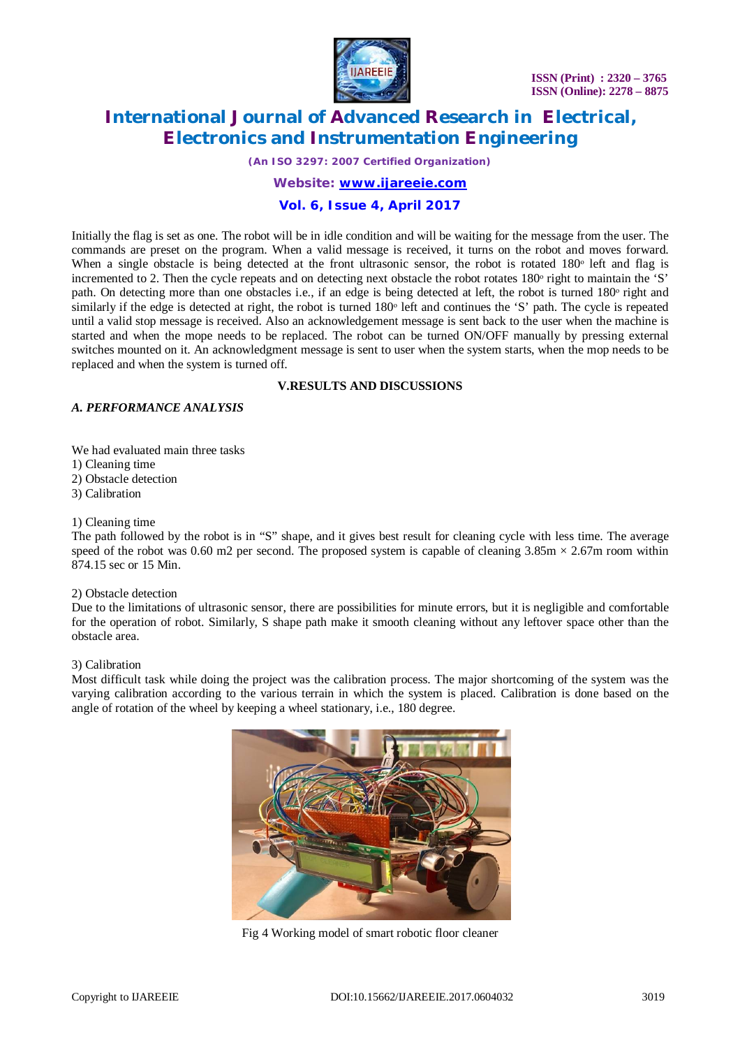

*(An ISO 3297: 2007 Certified Organization)*

*Website: [www.ijareeie.com](http://www.ijareeie.com)*

### **Vol. 6, Issue 4, April 2017**

Initially the flag is set as one. The robot will be in idle condition and will be waiting for the message from the user. The commands are preset on the program. When a valid message is received, it turns on the robot and moves forward. When a single obstacle is being detected at the front ultrasonic sensor, the robot is rotated  $180^\circ$  left and flag is incremented to 2. Then the cycle repeats and on detecting next obstacle the robot rotates 180<sup>°</sup> right to maintain the 'S' path. On detecting more than one obstacles i.e., if an edge is being detected at left, the robot is turned 180<sup>°</sup> right and similarly if the edge is detected at right, the robot is turned 180<sup>°</sup> left and continues the 'S' path. The cycle is repeated until a valid stop message is received. Also an acknowledgement message is sent back to the user when the machine is started and when the mope needs to be replaced. The robot can be turned ON/OFF manually by pressing external switches mounted on it. An acknowledgment message is sent to user when the system starts, when the mop needs to be replaced and when the system is turned off.

### **V.RESULTS AND DISCUSSIONS**

### *A. PERFORMANCE ANALYSIS*

We had evaluated main three tasks 1) Cleaning time 2) Obstacle detection 3) Calibration

### 1) Cleaning time

The path followed by the robot is in "S" shape, and it gives best result for cleaning cycle with less time. The average speed of the robot was 0.60 m2 per second. The proposed system is capable of cleaning  $3.85 \text{m} \times 2.67 \text{m}$  room within 874.15 sec or 15 Min.

### 2) Obstacle detection

Due to the limitations of ultrasonic sensor, there are possibilities for minute errors, but it is negligible and comfortable for the operation of robot. Similarly, S shape path make it smooth cleaning without any leftover space other than the obstacle area.

### 3) Calibration

Most difficult task while doing the project was the calibration process. The major shortcoming of the system was the varying calibration according to the various terrain in which the system is placed. Calibration is done based on the angle of rotation of the wheel by keeping a wheel stationary, i.e., 180 degree.



Fig 4 Working model of smart robotic floor cleaner